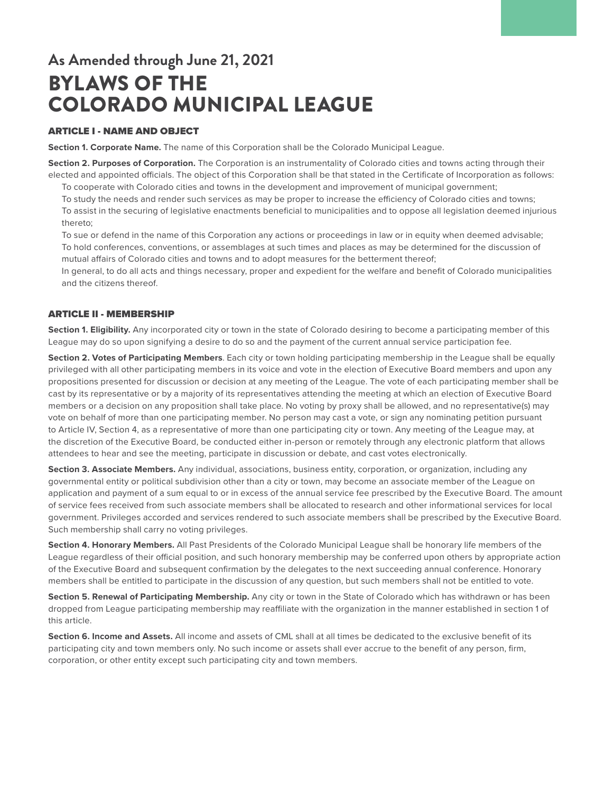# **As Amended through June 21, 2021** BYLAWS OF THE COLORADO MUNICIPAL LEAGUE

## ARTICLE I - NAME AND OBJECT

**Section 1. Corporate Name.** The name of this Corporation shall be the Colorado Municipal League.

**Section 2. Purposes of Corporation.** The Corporation is an instrumentality of Colorado cities and towns acting through their elected and appointed officials. The object of this Corporation shall be that stated in the Certificate of Incorporation as follows:

To cooperate with Colorado cities and towns in the development and improvement of municipal government;

To study the needs and render such services as may be proper to increase the efficiency of Colorado cities and towns; To assist in the securing of legislative enactments beneficial to municipalities and to oppose all legislation deemed injurious thereto;

To sue or defend in the name of this Corporation any actions or proceedings in law or in equity when deemed advisable; To hold conferences, conventions, or assemblages at such times and places as may be determined for the discussion of mutual affairs of Colorado cities and towns and to adopt measures for the betterment thereof;

In general, to do all acts and things necessary, proper and expedient for the welfare and benefit of Colorado municipalities and the citizens thereof.

## ARTICLE II - MEMBERSHIP

**Section 1. Eligibility.** Any incorporated city or town in the state of Colorado desiring to become a participating member of this League may do so upon signifying a desire to do so and the payment of the current annual service participation fee.

**Section 2. Votes of Participating Members**. Each city or town holding participating membership in the League shall be equally privileged with all other participating members in its voice and vote in the election of Executive Board members and upon any propositions presented for discussion or decision at any meeting of the League. The vote of each participating member shall be cast by its representative or by a majority of its representatives attending the meeting at which an election of Executive Board members or a decision on any proposition shall take place. No voting by proxy shall be allowed, and no representative(s) may vote on behalf of more than one participating member. No person may cast a vote, or sign any nominating petition pursuant to Article IV, Section 4, as a representative of more than one participating city or town. Any meeting of the League may, at the discretion of the Executive Board, be conducted either in-person or remotely through any electronic platform that allows attendees to hear and see the meeting, participate in discussion or debate, and cast votes electronically.

**Section 3. Associate Members.** Any individual, associations, business entity, corporation, or organization, including any governmental entity or political subdivision other than a city or town, may become an associate member of the League on application and payment of a sum equal to or in excess of the annual service fee prescribed by the Executive Board. The amount of service fees received from such associate members shall be allocated to research and other informational services for local government. Privileges accorded and services rendered to such associate members shall be prescribed by the Executive Board. Such membership shall carry no voting privileges.

**Section 4. Honorary Members.** All Past Presidents of the Colorado Municipal League shall be honorary life members of the League regardless of their official position, and such honorary membership may be conferred upon others by appropriate action of the Executive Board and subsequent confirmation by the delegates to the next succeeding annual conference. Honorary members shall be entitled to participate in the discussion of any question, but such members shall not be entitled to vote.

**Section 5. Renewal of Participating Membership.** Any city or town in the State of Colorado which has withdrawn or has been dropped from League participating membership may reaffiliate with the organization in the manner established in section 1 of this article.

**Section 6. Income and Assets.** All income and assets of CML shall at all times be dedicated to the exclusive benefit of its participating city and town members only. No such income or assets shall ever accrue to the benefit of any person, firm, corporation, or other entity except such participating city and town members.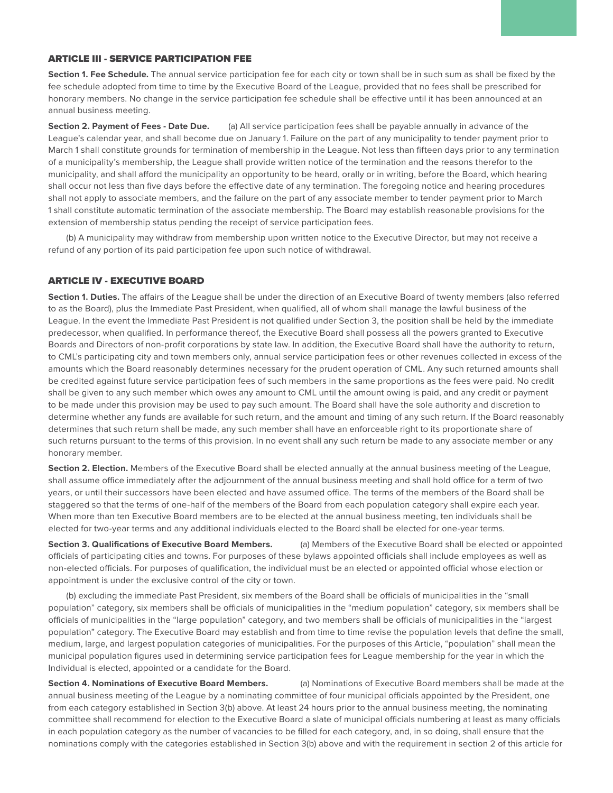### ARTICLE III - SERVICE PARTICIPATION FEE

**Section 1. Fee Schedule.** The annual service participation fee for each city or town shall be in such sum as shall be fixed by the fee schedule adopted from time to time by the Executive Board of the League, provided that no fees shall be prescribed for honorary members. No change in the service participation fee schedule shall be effective until it has been announced at an annual business meeting.

**Section 2. Payment of Fees - Date Due.** (a) All service participation fees shall be payable annually in advance of the League's calendar year, and shall become due on January 1. Failure on the part of any municipality to tender payment prior to March 1 shall constitute grounds for termination of membership in the League. Not less than fifteen days prior to any termination of a municipality's membership, the League shall provide written notice of the termination and the reasons therefor to the municipality, and shall afford the municipality an opportunity to be heard, orally or in writing, before the Board, which hearing shall occur not less than five days before the effective date of any termination. The foregoing notice and hearing procedures shall not apply to associate members, and the failure on the part of any associate member to tender payment prior to March 1 shall constitute automatic termination of the associate membership. The Board may establish reasonable provisions for the extension of membership status pending the receipt of service participation fees.

(b) A municipality may withdraw from membership upon written notice to the Executive Director, but may not receive a refund of any portion of its paid participation fee upon such notice of withdrawal.

#### ARTICLE IV - EXECUTIVE BOARD

**Section 1. Duties.** The affairs of the League shall be under the direction of an Executive Board of twenty members (also referred to as the Board), plus the Immediate Past President, when qualified, all of whom shall manage the lawful business of the League. In the event the Immediate Past President is not qualified under Section 3, the position shall be held by the immediate predecessor, when qualified. In performance thereof, the Executive Board shall possess all the powers granted to Executive Boards and Directors of non-profit corporations by state law. In addition, the Executive Board shall have the authority to return, to CML's participating city and town members only, annual service participation fees or other revenues collected in excess of the amounts which the Board reasonably determines necessary for the prudent operation of CML. Any such returned amounts shall be credited against future service participation fees of such members in the same proportions as the fees were paid. No credit shall be given to any such member which owes any amount to CML until the amount owing is paid, and any credit or payment to be made under this provision may be used to pay such amount. The Board shall have the sole authority and discretion to determine whether any funds are available for such return, and the amount and timing of any such return. If the Board reasonably determines that such return shall be made, any such member shall have an enforceable right to its proportionate share of such returns pursuant to the terms of this provision. In no event shall any such return be made to any associate member or any honorary member.

Section 2. Election. Members of the Executive Board shall be elected annually at the annual business meeting of the League, shall assume office immediately after the adjournment of the annual business meeting and shall hold office for a term of two years, or until their successors have been elected and have assumed office. The terms of the members of the Board shall be staggered so that the terms of one-half of the members of the Board from each population category shall expire each year. When more than ten Executive Board members are to be elected at the annual business meeting, ten individuals shall be elected for two-year terms and any additional individuals elected to the Board shall be elected for one-year terms.

**Section 3. Qualifications of Executive Board Members.** (a) Members of the Executive Board shall be elected or appointed officials of participating cities and towns. For purposes of these bylaws appointed officials shall include employees as well as non-elected officials. For purposes of qualification, the individual must be an elected or appointed official whose election or appointment is under the exclusive control of the city or town.

(b) excluding the immediate Past President, six members of the Board shall be officials of municipalities in the "small population" category, six members shall be officials of municipalities in the "medium population" category, six members shall be officials of municipalities in the "large population" category, and two members shall be officials of municipalities in the "largest population" category. The Executive Board may establish and from time to time revise the population levels that define the small, medium, large, and largest population categories of municipalities. For the purposes of this Article, "population" shall mean the municipal population figures used in determining service participation fees for League membership for the year in which the Individual is elected, appointed or a candidate for the Board.

**Section 4. Nominations of Executive Board Members.** (a) Nominations of Executive Board members shall be made at the annual business meeting of the League by a nominating committee of four municipal officials appointed by the President, one from each category established in Section 3(b) above. At least 24 hours prior to the annual business meeting, the nominating committee shall recommend for election to the Executive Board a slate of municipal officials numbering at least as many officials in each population category as the number of vacancies to be filled for each category, and, in so doing, shall ensure that the nominations comply with the categories established in Section 3(b) above and with the requirement in section 2 of this article for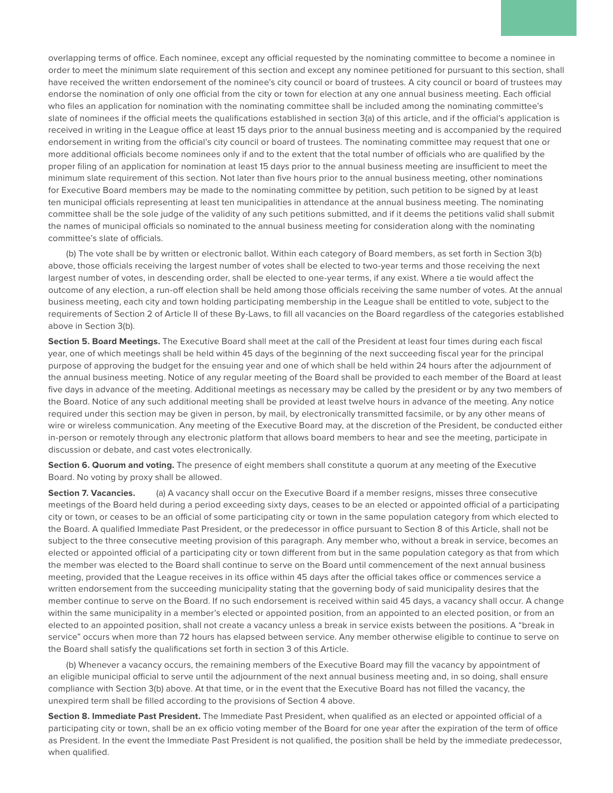overlapping terms of office. Each nominee, except any official requested by the nominating committee to become a nominee in order to meet the minimum slate requirement of this section and except any nominee petitioned for pursuant to this section, shall have received the written endorsement of the nominee's city council or board of trustees. A city council or board of trustees may endorse the nomination of only one official from the city or town for election at any one annual business meeting. Each official who files an application for nomination with the nominating committee shall be included among the nominating committee's slate of nominees if the official meets the qualifications established in section 3(a) of this article, and if the official's application is received in writing in the League office at least 15 days prior to the annual business meeting and is accompanied by the required endorsement in writing from the official's city council or board of trustees. The nominating committee may request that one or more additional officials become nominees only if and to the extent that the total number of officials who are qualified by the proper filing of an application for nomination at least 15 days prior to the annual business meeting are insufficient to meet the minimum slate requirement of this section. Not later than five hours prior to the annual business meeting, other nominations for Executive Board members may be made to the nominating committee by petition, such petition to be signed by at least ten municipal officials representing at least ten municipalities in attendance at the annual business meeting. The nominating committee shall be the sole judge of the validity of any such petitions submitted, and if it deems the petitions valid shall submit the names of municipal officials so nominated to the annual business meeting for consideration along with the nominating committee's slate of officials.

(b) The vote shall be by written or electronic ballot. Within each category of Board members, as set forth in Section 3(b) above, those officials receiving the largest number of votes shall be elected to two-year terms and those receiving the next largest number of votes, in descending order, shall be elected to one-year terms, if any exist. Where a tie would affect the outcome of any election, a run-off election shall be held among those officials receiving the same number of votes. At the annual business meeting, each city and town holding participating membership in the League shall be entitled to vote, subject to the requirements of Section 2 of Article II of these By-Laws, to fill all vacancies on the Board regardless of the categories established above in Section 3(b).

**Section 5. Board Meetings.** The Executive Board shall meet at the call of the President at least four times during each fiscal year, one of which meetings shall be held within 45 days of the beginning of the next succeeding fiscal year for the principal purpose of approving the budget for the ensuing year and one of which shall be held within 24 hours after the adjournment of the annual business meeting. Notice of any regular meeting of the Board shall be provided to each member of the Board at least five days in advance of the meeting. Additional meetings as necessary may be called by the president or by any two members of the Board. Notice of any such additional meeting shall be provided at least twelve hours in advance of the meeting. Any notice required under this section may be given in person, by mail, by electronically transmitted facsimile, or by any other means of wire or wireless communication. Any meeting of the Executive Board may, at the discretion of the President, be conducted either in-person or remotely through any electronic platform that allows board members to hear and see the meeting, participate in discussion or debate, and cast votes electronically.

**Section 6. Quorum and voting.** The presence of eight members shall constitute a quorum at any meeting of the Executive Board. No voting by proxy shall be allowed.

**Section 7. Vacancies.** (a) A vacancy shall occur on the Executive Board if a member resigns, misses three consecutive meetings of the Board held during a period exceeding sixty days, ceases to be an elected or appointed official of a participating city or town, or ceases to be an official of some participating city or town in the same population category from which elected to the Board. A qualified Immediate Past President, or the predecessor in office pursuant to Section 8 of this Article, shall not be subject to the three consecutive meeting provision of this paragraph. Any member who, without a break in service, becomes an elected or appointed official of a participating city or town different from but in the same population category as that from which the member was elected to the Board shall continue to serve on the Board until commencement of the next annual business meeting, provided that the League receives in its office within 45 days after the official takes office or commences service a written endorsement from the succeeding municipality stating that the governing body of said municipality desires that the member continue to serve on the Board. If no such endorsement is received within said 45 days, a vacancy shall occur. A change within the same municipality in a member's elected or appointed position, from an appointed to an elected position, or from an elected to an appointed position, shall not create a vacancy unless a break in service exists between the positions. A "break in service" occurs when more than 72 hours has elapsed between service. Any member otherwise eligible to continue to serve on the Board shall satisfy the qualifications set forth in section 3 of this Article.

(b) Whenever a vacancy occurs, the remaining members of the Executive Board may fill the vacancy by appointment of an eligible municipal official to serve until the adjournment of the next annual business meeting and, in so doing, shall ensure compliance with Section 3(b) above. At that time, or in the event that the Executive Board has not filled the vacancy, the unexpired term shall be filled according to the provisions of Section 4 above.

**Section 8. Immediate Past President.** The Immediate Past President, when qualified as an elected or appointed official of a participating city or town, shall be an ex officio voting member of the Board for one year after the expiration of the term of office as President. In the event the Immediate Past President is not qualified, the position shall be held by the immediate predecessor, when qualified.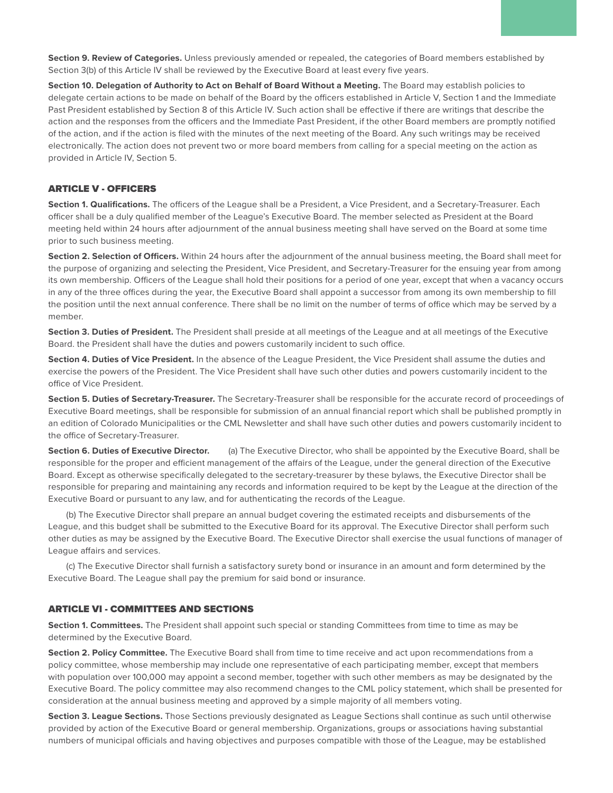**Section 9. Review of Categories.** Unless previously amended or repealed, the categories of Board members established by Section 3(b) of this Article IV shall be reviewed by the Executive Board at least every five years.

**Section 10. Delegation of Authority to Act on Behalf of Board Without a Meeting.** The Board may establish policies to delegate certain actions to be made on behalf of the Board by the officers established in Article V, Section 1 and the Immediate Past President established by Section 8 of this Article IV. Such action shall be effective if there are writings that describe the action and the responses from the officers and the Immediate Past President, if the other Board members are promptly notified of the action, and if the action is filed with the minutes of the next meeting of the Board. Any such writings may be received electronically. The action does not prevent two or more board members from calling for a special meeting on the action as provided in Article IV, Section 5.

## ARTICLE V - OFFICERS

**Section 1. Qualifications.** The officers of the League shall be a President, a Vice President, and a Secretary-Treasurer. Each officer shall be a duly qualified member of the League's Executive Board. The member selected as President at the Board meeting held within 24 hours after adjournment of the annual business meeting shall have served on the Board at some time prior to such business meeting.

**Section 2. Selection of Officers.** Within 24 hours after the adjournment of the annual business meeting, the Board shall meet for the purpose of organizing and selecting the President, Vice President, and Secretary-Treasurer for the ensuing year from among its own membership. Officers of the League shall hold their positions for a period of one year, except that when a vacancy occurs in any of the three offices during the year, the Executive Board shall appoint a successor from among its own membership to fill the position until the next annual conference. There shall be no limit on the number of terms of office which may be served by a member.

**Section 3. Duties of President.** The President shall preside at all meetings of the League and at all meetings of the Executive Board. the President shall have the duties and powers customarily incident to such office.

**Section 4. Duties of Vice President.** In the absence of the League President, the Vice President shall assume the duties and exercise the powers of the President. The Vice President shall have such other duties and powers customarily incident to the office of Vice President.

**Section 5. Duties of Secretary-Treasurer.** The Secretary-Treasurer shall be responsible for the accurate record of proceedings of Executive Board meetings, shall be responsible for submission of an annual financial report which shall be published promptly in an edition of Colorado Municipalities or the CML Newsletter and shall have such other duties and powers customarily incident to the office of Secretary-Treasurer.

**Section 6. Duties of Executive Director.** (a) The Executive Director, who shall be appointed by the Executive Board, shall be responsible for the proper and efficient management of the affairs of the League, under the general direction of the Executive Board. Except as otherwise specifically delegated to the secretary-treasurer by these bylaws, the Executive Director shall be responsible for preparing and maintaining any records and information required to be kept by the League at the direction of the Executive Board or pursuant to any law, and for authenticating the records of the League.

(b) The Executive Director shall prepare an annual budget covering the estimated receipts and disbursements of the League, and this budget shall be submitted to the Executive Board for its approval. The Executive Director shall perform such other duties as may be assigned by the Executive Board. The Executive Director shall exercise the usual functions of manager of League affairs and services.

(c) The Executive Director shall furnish a satisfactory surety bond or insurance in an amount and form determined by the Executive Board. The League shall pay the premium for said bond or insurance.

#### ARTICLE VI - COMMITTEES AND SECTIONS

**Section 1. Committees.** The President shall appoint such special or standing Committees from time to time as may be determined by the Executive Board.

**Section 2. Policy Committee.** The Executive Board shall from time to time receive and act upon recommendations from a policy committee, whose membership may include one representative of each participating member, except that members with population over 100,000 may appoint a second member, together with such other members as may be designated by the Executive Board. The policy committee may also recommend changes to the CML policy statement, which shall be presented for consideration at the annual business meeting and approved by a simple majority of all members voting.

**Section 3. League Sections.** Those Sections previously designated as League Sections shall continue as such until otherwise provided by action of the Executive Board or general membership. Organizations, groups or associations having substantial numbers of municipal officials and having objectives and purposes compatible with those of the League, may be established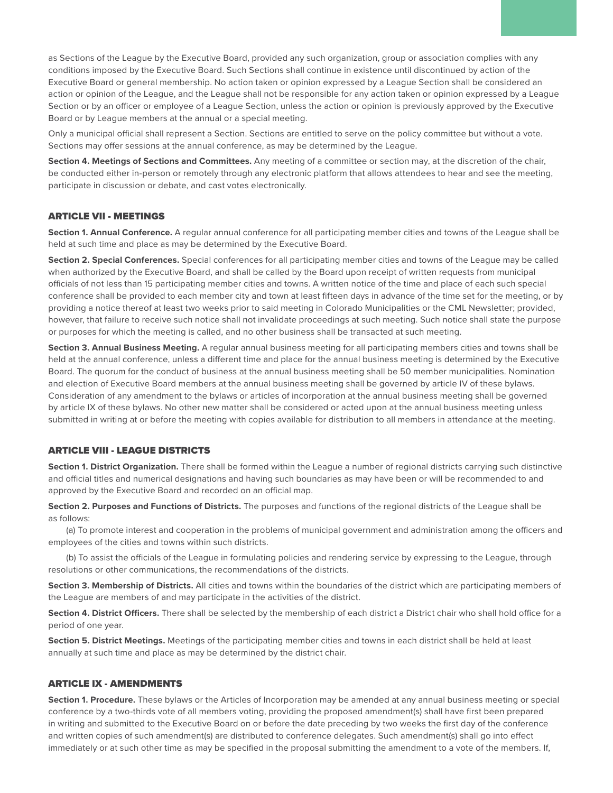as Sections of the League by the Executive Board, provided any such organization, group or association complies with any conditions imposed by the Executive Board. Such Sections shall continue in existence until discontinued by action of the Executive Board or general membership. No action taken or opinion expressed by a League Section shall be considered an action or opinion of the League, and the League shall not be responsible for any action taken or opinion expressed by a League Section or by an officer or employee of a League Section, unless the action or opinion is previously approved by the Executive Board or by League members at the annual or a special meeting.

Only a municipal official shall represent a Section. Sections are entitled to serve on the policy committee but without a vote. Sections may offer sessions at the annual conference, as may be determined by the League.

**Section 4. Meetings of Sections and Committees.** Any meeting of a committee or section may, at the discretion of the chair, be conducted either in-person or remotely through any electronic platform that allows attendees to hear and see the meeting, participate in discussion or debate, and cast votes electronically.

#### ARTICLE VII - MEETINGS

**Section 1. Annual Conference.** A regular annual conference for all participating member cities and towns of the League shall be held at such time and place as may be determined by the Executive Board.

**Section 2. Special Conferences.** Special conferences for all participating member cities and towns of the League may be called when authorized by the Executive Board, and shall be called by the Board upon receipt of written requests from municipal officials of not less than 15 participating member cities and towns. A written notice of the time and place of each such special conference shall be provided to each member city and town at least fifteen days in advance of the time set for the meeting, or by providing a notice thereof at least two weeks prior to said meeting in Colorado Municipalities or the CML Newsletter; provided, however, that failure to receive such notice shall not invalidate proceedings at such meeting. Such notice shall state the purpose or purposes for which the meeting is called, and no other business shall be transacted at such meeting.

**Section 3. Annual Business Meeting.** A regular annual business meeting for all participating members cities and towns shall be held at the annual conference, unless a different time and place for the annual business meeting is determined by the Executive Board. The quorum for the conduct of business at the annual business meeting shall be 50 member municipalities. Nomination and election of Executive Board members at the annual business meeting shall be governed by article IV of these bylaws. Consideration of any amendment to the bylaws or articles of incorporation at the annual business meeting shall be governed by article IX of these bylaws. No other new matter shall be considered or acted upon at the annual business meeting unless submitted in writing at or before the meeting with copies available for distribution to all members in attendance at the meeting.

### ARTICLE VIII - LEAGUE DISTRICTS

**Section 1. District Organization.** There shall be formed within the League a number of regional districts carrying such distinctive and official titles and numerical designations and having such boundaries as may have been or will be recommended to and approved by the Executive Board and recorded on an official map.

**Section 2. Purposes and Functions of Districts.** The purposes and functions of the regional districts of the League shall be as follows:

(a) To promote interest and cooperation in the problems of municipal government and administration among the officers and employees of the cities and towns within such districts.

(b) To assist the officials of the League in formulating policies and rendering service by expressing to the League, through resolutions or other communications, the recommendations of the districts.

**Section 3. Membership of Districts.** All cities and towns within the boundaries of the district which are participating members of the League are members of and may participate in the activities of the district.

**Section 4. District Officers.** There shall be selected by the membership of each district a District chair who shall hold office for a period of one year.

**Section 5. District Meetings.** Meetings of the participating member cities and towns in each district shall be held at least annually at such time and place as may be determined by the district chair.

## ARTICLE IX - AMENDMENTS

**Section 1. Procedure.** These bylaws or the Articles of Incorporation may be amended at any annual business meeting or special conference by a two-thirds vote of all members voting, providing the proposed amendment(s) shall have first been prepared in writing and submitted to the Executive Board on or before the date preceding by two weeks the first day of the conference and written copies of such amendment(s) are distributed to conference delegates. Such amendment(s) shall go into effect immediately or at such other time as may be specified in the proposal submitting the amendment to a vote of the members. If,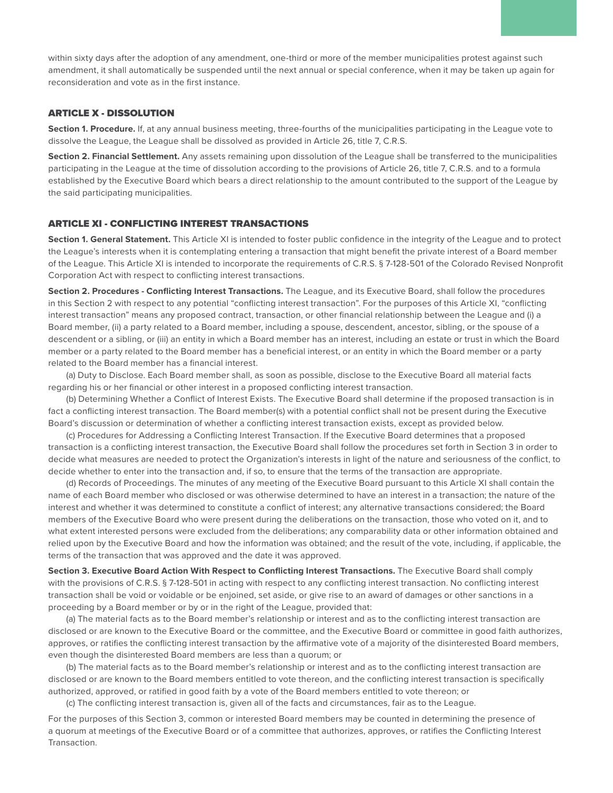within sixty days after the adoption of any amendment, one-third or more of the member municipalities protest against such amendment, it shall automatically be suspended until the next annual or special conference, when it may be taken up again for reconsideration and vote as in the first instance.

### ARTICLE X - DISSOLUTION

**Section 1. Procedure.** If, at any annual business meeting, three-fourths of the municipalities participating in the League vote to dissolve the League, the League shall be dissolved as provided in Article 26, title 7, C.R.S.

**Section 2. Financial Settlement.** Any assets remaining upon dissolution of the League shall be transferred to the municipalities participating in the League at the time of dissolution according to the provisions of Article 26, title 7, C.R.S. and to a formula established by the Executive Board which bears a direct relationship to the amount contributed to the support of the League by the said participating municipalities.

#### ARTICLE XI - CONFLICTING INTEREST TRANSACTIONS

**Section 1. General Statement.** This Article XI is intended to foster public confidence in the integrity of the League and to protect the League's interests when it is contemplating entering a transaction that might benefit the private interest of a Board member of the League. This Article XI is intended to incorporate the requirements of C.R.S. § 7-128-501 of the Colorado Revised Nonprofit Corporation Act with respect to conflicting interest transactions.

**Section 2. Procedures - Conflicting Interest Transactions.** The League, and its Executive Board, shall follow the procedures in this Section 2 with respect to any potential "conflicting interest transaction". For the purposes of this Article XI, "conflicting interest transaction" means any proposed contract, transaction, or other financial relationship between the League and (i) a Board member, (ii) a party related to a Board member, including a spouse, descendent, ancestor, sibling, or the spouse of a descendent or a sibling, or (iii) an entity in which a Board member has an interest, including an estate or trust in which the Board member or a party related to the Board member has a beneficial interest, or an entity in which the Board member or a party related to the Board member has a financial interest.

(a) Duty to Disclose. Each Board member shall, as soon as possible, disclose to the Executive Board all material facts regarding his or her financial or other interest in a proposed conflicting interest transaction.

(b) Determining Whether a Conflict of Interest Exists. The Executive Board shall determine if the proposed transaction is in fact a conflicting interest transaction. The Board member(s) with a potential conflict shall not be present during the Executive Board's discussion or determination of whether a conflicting interest transaction exists, except as provided below.

(c) Procedures for Addressing a Conflicting Interest Transaction. If the Executive Board determines that a proposed transaction is a conflicting interest transaction, the Executive Board shall follow the procedures set forth in Section 3 in order to decide what measures are needed to protect the Organization's interests in light of the nature and seriousness of the conflict, to decide whether to enter into the transaction and, if so, to ensure that the terms of the transaction are appropriate.

(d) Records of Proceedings. The minutes of any meeting of the Executive Board pursuant to this Article XI shall contain the name of each Board member who disclosed or was otherwise determined to have an interest in a transaction; the nature of the interest and whether it was determined to constitute a conflict of interest; any alternative transactions considered; the Board members of the Executive Board who were present during the deliberations on the transaction, those who voted on it, and to what extent interested persons were excluded from the deliberations; any comparability data or other information obtained and relied upon by the Executive Board and how the information was obtained; and the result of the vote, including, if applicable, the terms of the transaction that was approved and the date it was approved.

**Section 3. Executive Board Action With Respect to Conflicting Interest Transactions.** The Executive Board shall comply with the provisions of C.R.S. § 7-128-501 in acting with respect to any conflicting interest transaction. No conflicting interest transaction shall be void or voidable or be enjoined, set aside, or give rise to an award of damages or other sanctions in a proceeding by a Board member or by or in the right of the League, provided that:

(a) The material facts as to the Board member's relationship or interest and as to the conflicting interest transaction are disclosed or are known to the Executive Board or the committee, and the Executive Board or committee in good faith authorizes, approves, or ratifies the conflicting interest transaction by the affirmative vote of a majority of the disinterested Board members, even though the disinterested Board members are less than a quorum; or

(b) The material facts as to the Board member's relationship or interest and as to the conflicting interest transaction are disclosed or are known to the Board members entitled to vote thereon, and the conflicting interest transaction is specifically authorized, approved, or ratified in good faith by a vote of the Board members entitled to vote thereon; or

(c) The conflicting interest transaction is, given all of the facts and circumstances, fair as to the League.

For the purposes of this Section 3, common or interested Board members may be counted in determining the presence of a quorum at meetings of the Executive Board or of a committee that authorizes, approves, or ratifies the Conflicting Interest Transaction.